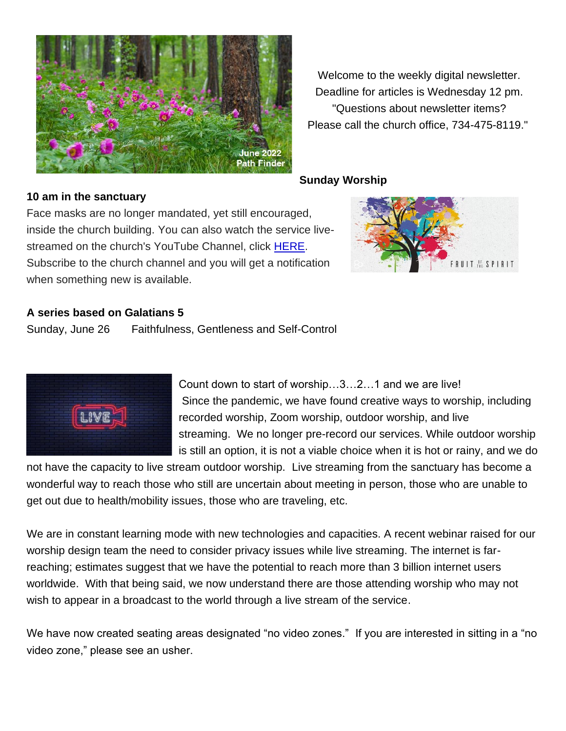

Welcome to the weekly digital newsletter. Deadline for articles is Wednesday 12 pm. "Questions about newsletter items? Please call the church office, 734-475-8119."

### **Sunday Worship**

### **10 am in the sanctuary**

Face masks are no longer mandated, yet still encouraged, inside the church building. You can also watch the service livestreamed on the church's YouTube Channel, click [HERE.](https://chelseaumc.us14.list-manage.com/track/click?u=37c8191c70ab0cf4086c379d3&id=086b04e37b&e=37f2bbef4d) Subscribe to the church channel and you will get a notification when something new is available.



### **A series based on Galatians 5**

Sunday, June 26 Faithfulness, Gentleness and Self-Control



Count down to start of worship…3…2…1 and we are live! Since the pandemic, we have found creative ways to worship, including recorded worship, Zoom worship, outdoor worship, and live streaming. We no longer pre-record our services. While outdoor worship is still an option, it is not a viable choice when it is hot or rainy, and we do

not have the capacity to live stream outdoor worship. Live streaming from the sanctuary has become a wonderful way to reach those who still are uncertain about meeting in person, those who are unable to get out due to health/mobility issues, those who are traveling, etc.

We are in constant learning mode with new technologies and capacities. A recent webinar raised for our worship design team the need to consider privacy issues while live streaming. The internet is farreaching; estimates suggest that we have the potential to reach more than 3 billion internet users worldwide. With that being said, we now understand there are those attending worship who may not wish to appear in a broadcast to the world through a live stream of the service.

We have now created seating areas designated "no video zones." If you are interested in sitting in a "no video zone," please see an usher.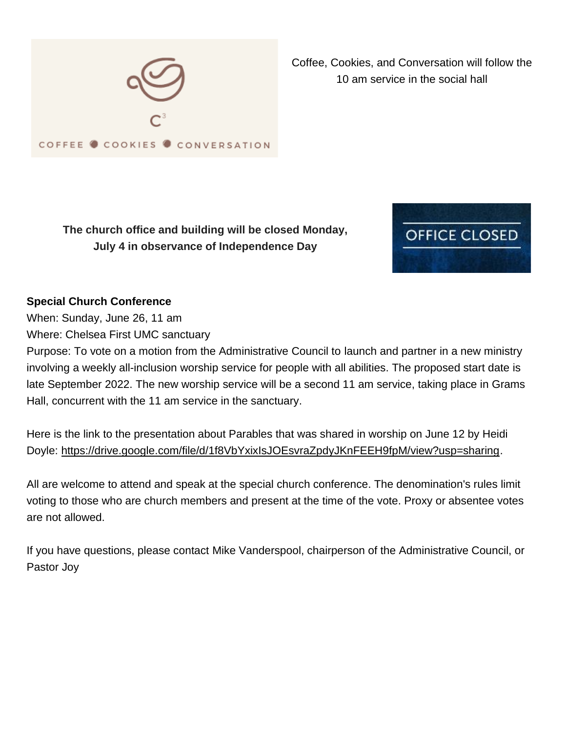

Coffee, Cookies, and Conversation will follow the 10 am service in the social hall

**The church office and building will be closed Monday, July 4 in observance of Independence Day**



# **Special Church Conference**

When: Sunday, June 26, 11 am

Where: Chelsea First UMC sanctuary

Purpose: To vote on a motion from the Administrative Council to launch and partner in a new ministry involving a weekly all-inclusion worship service for people with all abilities. The proposed start date is late September 2022. The new worship service will be a second 11 am service, taking place in Grams Hall, concurrent with the 11 am service in the sanctuary.

Here is the link to the presentation about Parables that was shared in worship on June 12 by Heidi Doyle: [https://drive.google.com/file/d/1f8VbYxixIsJOEsvraZpdyJKnFEEH9fpM/view?usp=sharing.](https://drive.google.com/file/d/1f8VbYxixIsJOEsvraZpdyJKnFEEH9fpM/view?usp=sharing)

All are welcome to attend and speak at the special church conference. The denomination's rules limit voting to those who are church members and present at the time of the vote. Proxy or absentee votes are not allowed.

If you have questions, please contact Mike Vanderspool, chairperson of the Administrative Council, or Pastor Joy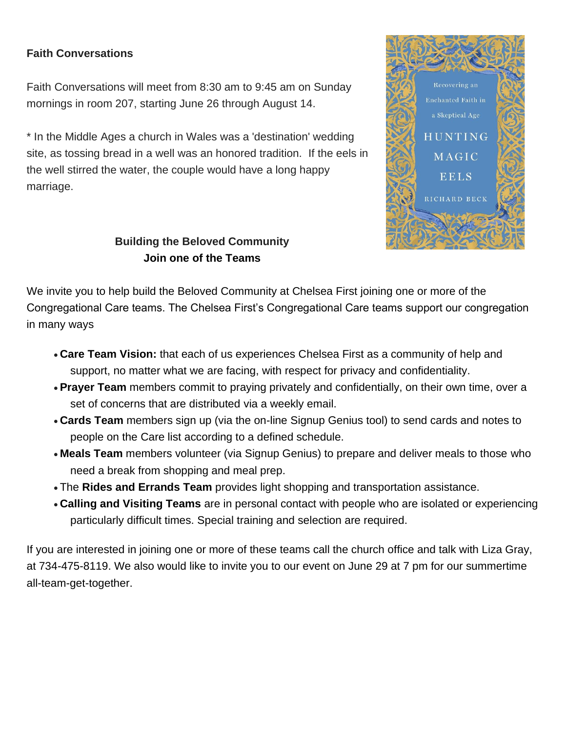# **Faith Conversations**

Faith Conversations will meet from 8:30 am to 9:45 am on Sunday mornings in room 207, starting June 26 through August 14.

\* In the Middle Ages a church in Wales was a 'destination' wedding site, as tossing bread in a well was an honored tradition. If the eels in the well stirred the water, the couple would have a long happy marriage.



# **Building the Beloved Community Join one of the Teams**

We invite you to help build the Beloved Community at Chelsea First joining one or more of the Congregational Care teams. The Chelsea First's Congregational Care teams support our congregation in many ways

- **Care Team Vision:** that each of us experiences Chelsea First as a community of help and support, no matter what we are facing, with respect for privacy and confidentiality.
- **Prayer Team** members commit to praying privately and confidentially, on their own time, over a set of concerns that are distributed via a weekly email.
- **Cards Team** members sign up (via the on-line Signup Genius tool) to send cards and notes to people on the Care list according to a defined schedule.
- **Meals Team** members volunteer (via Signup Genius) to prepare and deliver meals to those who need a break from shopping and meal prep.
- The **Rides and Errands Team** provides light shopping and transportation assistance.
- **Calling and Visiting Teams** are in personal contact with people who are isolated or experiencing particularly difficult times. Special training and selection are required.

If you are interested in joining one or more of these teams call the church office and talk with Liza Gray, at 734-475-8119. We also would like to invite you to our event on June 29 at 7 pm for our summertime all-team-get-together.